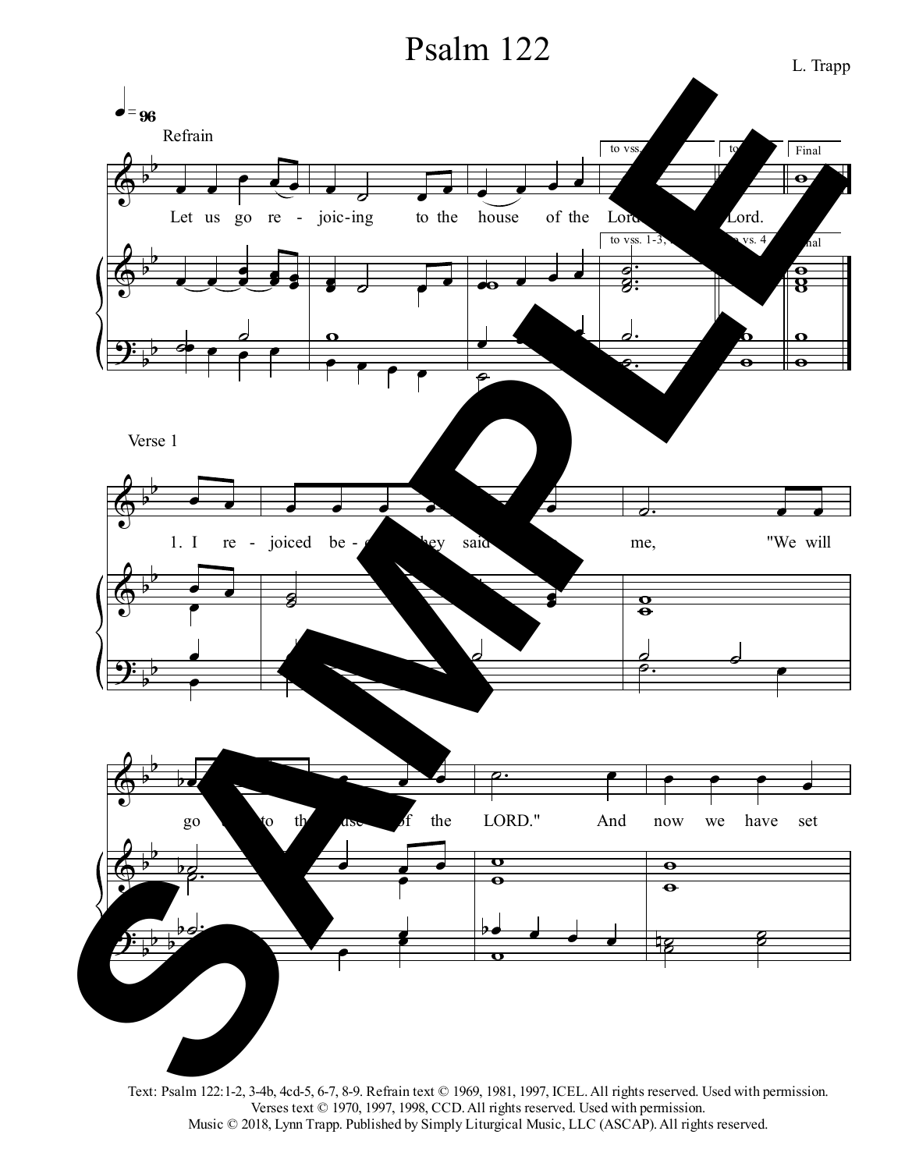## Psalm 122



Text: Psalm 122:1-2, 3-4b, 4cd-5, 6-7, 8-9. Refrain text © 1969, 1981, 1997, ICEL.All rights reserved. Used with permission. Verses text © 1970, 1997, 1998, CCD. All rights reserved. Used with permission. Music © 2018, Lynn Trapp. Published by Simply Liturgical Music, LLC (ASCAP). All rights reserved.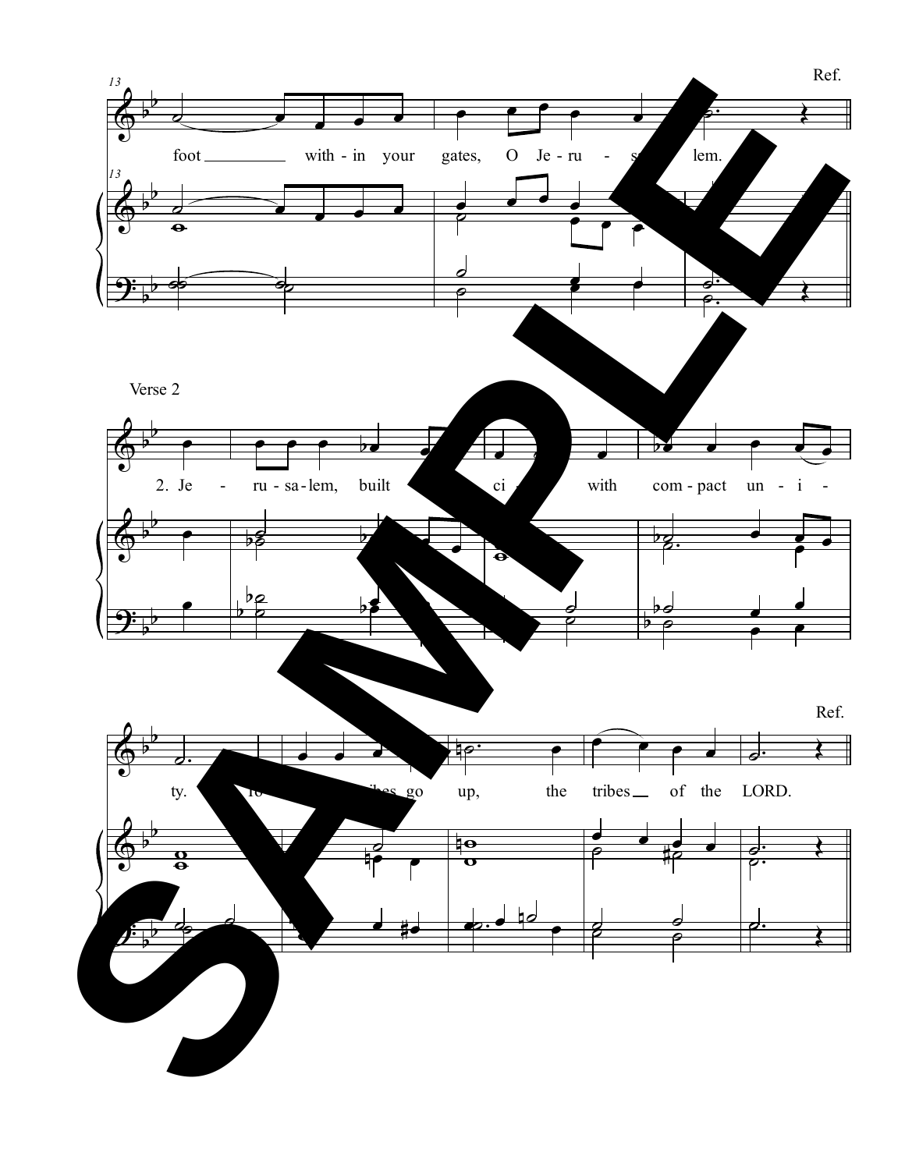